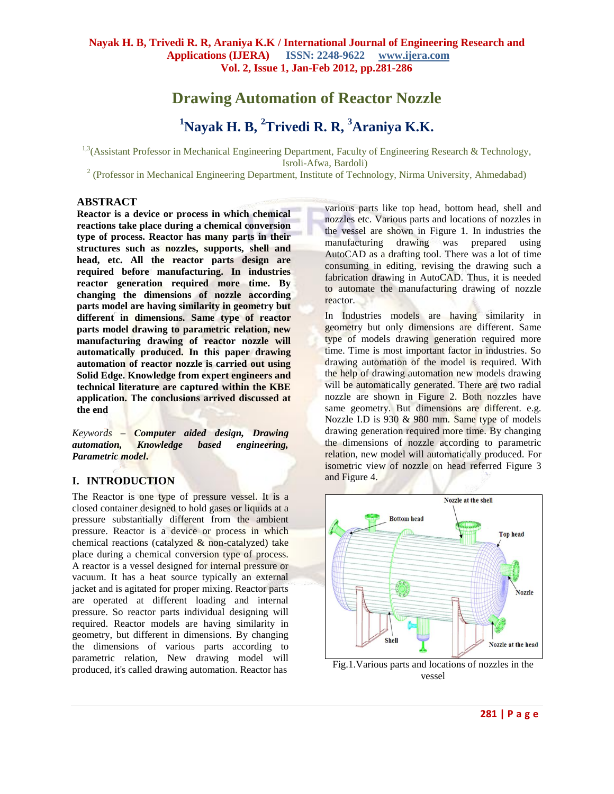# **Drawing Automation of Reactor Nozzle**

# **<sup>1</sup>Nayak H. B, <sup>2</sup>Trivedi R. R, <sup>3</sup>Araniya K.K.**

<sup>1,3</sup>(Assistant Professor in Mechanical Engineering Department, Faculty of Engineering Research & Technology, Isroli-Afwa, Bardoli)

<sup>2</sup> (Professor in Mechanical Engineering Department, Institute of Technology, Nirma University, Ahmedabad)

#### **ABSTRACT**

**Reactor is a device or process in which chemical reactions take place during a chemical conversion type of process. Reactor has many parts in their structures such as nozzles, supports, shell and head, etc. All the reactor parts design are required before manufacturing. In industries reactor generation required more time. By changing the dimensions of nozzle according parts model are having similarity in geometry but different in dimensions. Same type of reactor parts model drawing to parametric relation, new manufacturing drawing of reactor nozzle will automatically produced. In this paper drawing automation of reactor nozzle is carried out using Solid Edge. Knowledge from expert engineers and technical literature are captured within the KBE application. The conclusions arrived discussed at the end**

*Keywords* **–** *Computer aided design, Drawing automation, Knowledge based engineering, Parametric model***.**

#### **I. INTRODUCTION**

The Reactor is one type of pressure vessel. It is a closed container designed to hold gases or liquids at a pressure substantially different from the ambient pressure. Reactor is a device or process in which chemical reactions (catalyzed & non-catalyzed) take place during a chemical conversion type of process. A reactor is a vessel designed for internal pressure or vacuum. It has a heat source typically an external jacket and is agitated for proper mixing. Reactor parts are operated at different loading and internal pressure. So reactor parts individual designing will required. Reactor models are having similarity in geometry, but different in dimensions. By changing the dimensions of various parts according to parametric relation, New drawing model will produced, it's called drawing automation. Reactor has

various parts like top head, bottom head, shell and nozzles etc. Various parts and locations of nozzles in the vessel are shown in Figure 1. In industries the manufacturing drawing was prepared using AutoCAD as a drafting tool. There was a lot of time consuming in editing, revising the drawing such a fabrication drawing in AutoCAD. Thus, it is needed to automate the manufacturing drawing of nozzle reactor.

In Industries models are having similarity in geometry but only dimensions are different. Same type of models drawing generation required more time. Time is most important factor in industries. So drawing automation of the model is required. With the help of drawing automation new models drawing will be automatically generated. There are two radial nozzle are shown in Figure 2. Both nozzles have same geometry. But dimensions are different. e.g. Nozzle I.D is 930 & 980 mm. Same type of models drawing generation required more time. By changing the dimensions of nozzle according to parametric relation, new model will automatically produced. For isometric view of nozzle on head referred Figure 3 and Figure 4.



vessel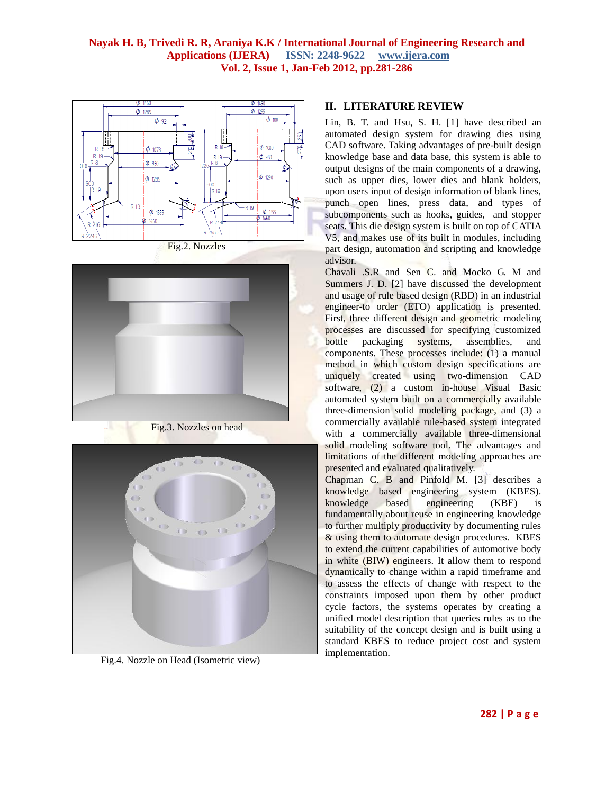



Fig.3. Nozzles on head



Fig.4. Nozzle on Head (Isometric view)

## **II. LITERATURE REVIEW**

Lin, B. T. and Hsu, S. H. [\[1\]](#page-5-0) have described an automated design system for drawing dies using CAD software. Taking advantages of pre-built design knowledge base and data base, this system is able to output designs of the main components of a drawing, such as upper dies, lower dies and blank holders, upon users input of design information of blank lines, punch open lines, press data, and types of subcomponents such as hooks, guides, and stopper seats. This die design system is built on top of CATIA V5, and makes use of its built in modules, including part design, automation and scripting and knowledge advisor.

Chavali .S.R and Sen C. and Mocko G. M and Summers J. D. [\[2\]](#page-5-1) have discussed the development and usage of rule based design (RBD) in an industrial engineer-to order (ETO) application is presented. First, three different design and geometric modeling processes are discussed for specifying customized bottle packaging systems, assemblies, and components. These processes include: (1) a manual method in which custom design specifications are uniquely created using two-dimension CAD software, (2) a custom in-house Visual Basic automated system built on a commercially available three-dimension solid modeling package, and (3) a commercially available rule-based system integrated with a commercially available three-dimensional solid modeling software tool. The advantages and limitations of the different modeling approaches are presented and evaluated qualitatively.

Chapman C. B and Pinfold M. [\[3\]](#page-5-2) describes a knowledge based engineering system (KBES). knowledge based engineering (KBE) is fundamentally about reuse in engineering knowledge to further multiply productivity by documenting rules & using them to automate design procedures. KBES to extend the current capabilities of automotive body in white (BIW) engineers. It allow them to respond dynamically to change within a rapid timeframe and to assess the effects of change with respect to the constraints imposed upon them by other product cycle factors, the systems operates by creating a unified model description that queries rules as to the suitability of the concept design and is built using a standard KBES to reduce project cost and system implementation.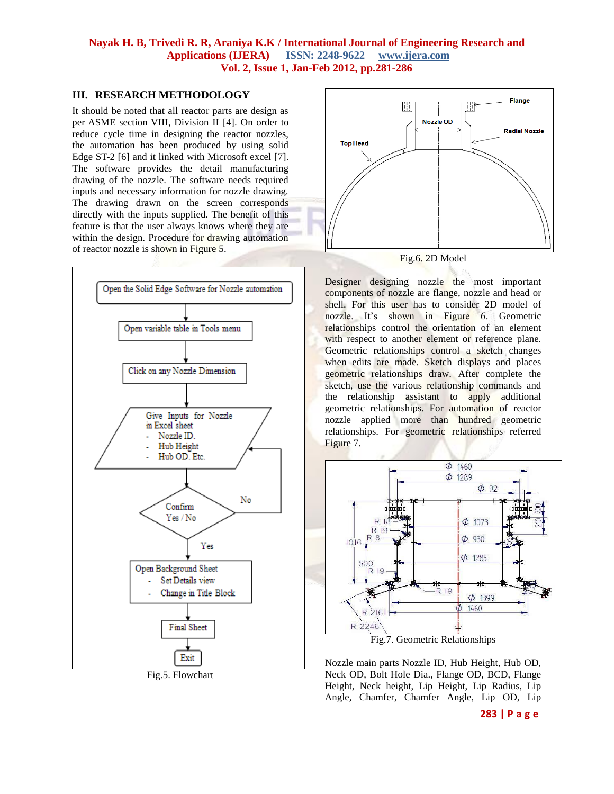#### **III. RESEARCH METHODOLOGY**

It should be noted that all reactor parts are design as per ASME section VIII, Division II [\[4\]](#page-5-3). On order to reduce cycle time in designing the reactor nozzles, the automation has been produced by using solid Edge ST-2 [\[6\]](#page-5-4) and it linked with Microsoft excel [\[7\]](#page-5-5). The software provides the detail manufacturing drawing of the nozzle. The software needs required inputs and necessary information for nozzle drawing. The drawing drawn on the screen corresponds directly with the inputs supplied. The benefit of this feature is that the user always knows where they are within the design. Procedure for drawing automation of reactor nozzle is shown in Figure 5.





Fig.6. 2D Model

Designer designing nozzle the most important components of nozzle are flange, nozzle and head or shell. For this user has to consider 2D model of nozzle. It's shown in Figure 6. Geometric relationships control the orientation of an element with respect to another element or reference plane. Geometric relationships control a sketch changes when edits are made. Sketch displays and places geometric relationships draw. After complete the sketch, use the various relationship commands and the relationship assistant to apply additional geometric relationships. For automation of reactor nozzle applied more than hundred geometric relationships. For geometric relationships referred Figure 7.



Fig.7. Geometric Relationships

Nozzle main parts Nozzle ID, Hub Height, Hub OD, Neck OD, Bolt Hole Dia., Flange OD, BCD, Flange Height, Neck height, Lip Height, Lip Radius, Lip Angle, Chamfer, Chamfer Angle, Lip OD, Lip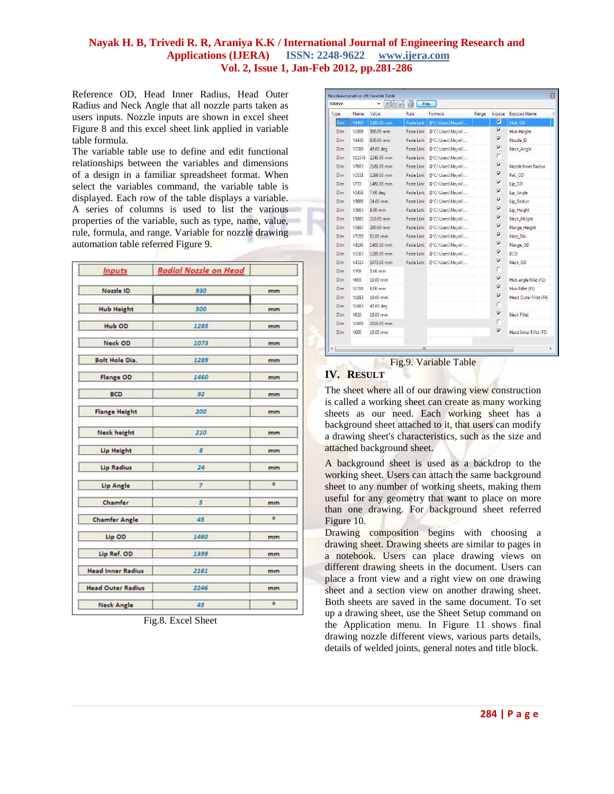Reference OD, Head Inner Radius, Head Outer Radius and Neck Angle that all nozzle parts taken as users inputs. Nozzle inputs are shown in excel sheet Figure 8 and this excel sheet link applied in variable table formula.

The variable table use to define and edit functional relationships between the variables and dimensions of a design in a familiar spreadsheet format. When select the variables command, the variable table is displayed. Each row of the table displays a variable. A series of columns is used to list the various properties of the variable, such as type, name, value, rule, formula, and range. Variable for nozzle drawing automation table referred Figure 9.

| <b>Inputs</b>            | <b>Radial Nozzle on Head</b> |                                      |  |
|--------------------------|------------------------------|--------------------------------------|--|
| Nozzle ID                | 930                          | mm                                   |  |
| <b>Hub Height</b>        | 500                          | mm                                   |  |
| Hub OD                   | 1285                         | mm                                   |  |
| Neck OD                  | 1073                         | mm                                   |  |
| <b>Bolt Hole Dia.</b>    | 1289                         | mm<br>mm<br>mm<br>mm                 |  |
| Flange OD                | 1460                         |                                      |  |
| <b>BCD</b>               | 92                           |                                      |  |
| <b>Flange Height</b>     | 200                          |                                      |  |
| <b>Neck height</b>       | 210                          | mm<br>mm                             |  |
| Lip Height               | 8                            |                                      |  |
| <b>Lip Radius</b>        | 24                           | mm                                   |  |
| Lip Angle                | $\overline{z}$               | o<br>mm<br>$\ddot{\mathbf{0}}$<br>mm |  |
| Chamfer                  | 5                            |                                      |  |
| <b>Chamfer Angle</b>     | 45                           |                                      |  |
| Lip OD                   | 1460                         |                                      |  |
| Lip Ref. OD              | 1399                         | mm                                   |  |
| <b>Head Inner Radius</b> | 2161                         | mm                                   |  |
| <b>Head Outer Radius</b> | 2246                         | mm                                   |  |
| <b>Neck Angle</b>        | 45                           | ø                                    |  |

Fig.8. Excel Sheet

| Type       | Name   | Value      | Rule       | Formula           | Range | Expose                  | <b>Exposed Name</b>    |
|------------|--------|------------|------------|-------------------|-------|-------------------------|------------------------|
| Dim        | V4460  | 1285.00 mm | Paste Link | @'C:\Users\Nayak\ |       | $\overline{v}$          | Hub OD                 |
| Dim.       | V1896  | 500.00 mm  | Paste Link | @'C:\Users\Nayak\ |       | ⊽                       | Hub Height             |
| Dim        | V4446  | 930.00 mm  | Paste Link | @'C:\Users\Nayak\ |       | ⊽                       | Nozzle ID              |
| Dim        | V3389  | 45.00 deg  | Paste Link | @'C:\Users\Nayak\ |       | ⊽                       | Neck_Angle             |
| Dim        | V11579 | 2246.00 mm | Paste Link | @'C:\Users\Navak\ |       | г                       |                        |
| <b>Dim</b> | V7603  | 2161.00 mm | Paste Link | @'C:\Users\Nayak\ |       | ⊽                       | Nozzle Inner Radius    |
| Dim.       | V3531  | 1399.00 mm | Paste Link | @'C:\Users\Nayak\ |       | ⊽                       | Ref. OD                |
| <b>Dim</b> | V733   | 1460.00 mm | Paste Link | @'C:\Users\Nayak\ |       | $\overline{\mathbf{v}}$ | Lip OD                 |
| <b>Dim</b> | V5458  | 7.00 deg   | Paste Link | @'C:\Users\Nayak\ |       | ⊽                       | Lip_Angle              |
| Dim        | V5666  | 24.00 mm   | Paste Link | @'C:\Users\Nayak\ |       | $\overline{\mathbf{v}}$ | Lip_Radius             |
| Dim        | V5664  | 8.00 mm    | Paste Link | @'C:\Users\Nayak\ |       | $\overline{\mathbf{v}}$ | Lip_Height             |
| Dim.       | V5862  | 210.00 mm  | Paste Link | @'C:\Users\Nayak\ |       | ⊽                       | Neck Height            |
| Dim        | V5897  | 200.00 mm  | Paste Link | @'C:\Users\Nayak\ |       | ⊽                       | Flange_Height          |
| Dim        | V7295  | 92.00 mm   | Paste Link | @'C:\Users\Nayak\ |       | ⊽                       | Hole Dia.              |
| <b>Dim</b> | V4196  | 1460.00 mm | Paste Link | @'C:\Users\Nayak\ |       | ⊽                       | Flange_OD              |
| <b>Dim</b> | V3387  | 1289.00 mm | Paste Link | @'C:\Users\Nayak\ |       | $\overline{\mathbf{v}}$ | <b>BCD</b>             |
| Dim        | V4524  | 1073.00 mm | Paste Link | @'C:\Users\Nayak\ |       | $\overline{\mathbf{v}}$ | Neck OD                |
| Dim        | V709   | 5.00 mm    |            |                   |       | п                       |                        |
| Dim        | V603   | 19.00 mm   |            |                   |       | $\overline{\mathbf{v}}$ | Hub angle fillet (F2). |
| Dim        | V1785  | 8.00 mm    |            |                   |       | $\overline{\mathbf{v}}$ | Hub Fillet (F3)        |
| Dim        | V1913  | 19.00 mm   |            |                   |       | $\overline{\mathbf{v}}$ | Head Outer Fillet (F4) |
| Dim.       | V1863  | 45.00 deg  |            |                   |       | г                       |                        |
| Dim.       | V620   | 18.00 mm   |            |                   |       | $\overline{\mathbf{v}}$ | Neck Fillet            |
| Dim        | V1895  | 1016.00 mm |            |                   |       | г                       |                        |
| <b>Dim</b> | V690   | 19.00 mm   |            |                   |       | $\overline{\mathbf{v}}$ | Head Inner Fillet (F5) |

Fig.9. Variable Table

# **IV. RESULT**

The sheet where all of our drawing view construction is called a working sheet can create as many working sheets as our need. Each working sheet has a background sheet attached to it, that users can modify a drawing sheet's characteristics, such as the size and attached background sheet.

A background sheet is used as a backdrop to the working sheet. Users can attach the same background sheet to any number of working sheets, making them useful for any geometry that want to place on more than one drawing. For background sheet referred Figure 10.

Drawing composition begins with choosing a drawing sheet. Drawing sheets are similar to pages in a notebook. Users can place drawing views on different drawing sheets in the document. Users can place a front view and a right view on one drawing sheet and a section view on another drawing sheet. Both sheets are saved in the same document. To set up a drawing sheet, use the Sheet Setup command on the Application menu. In Figure 11 shows final drawing nozzle different views, various parts details, details of welded joints, general notes and title block.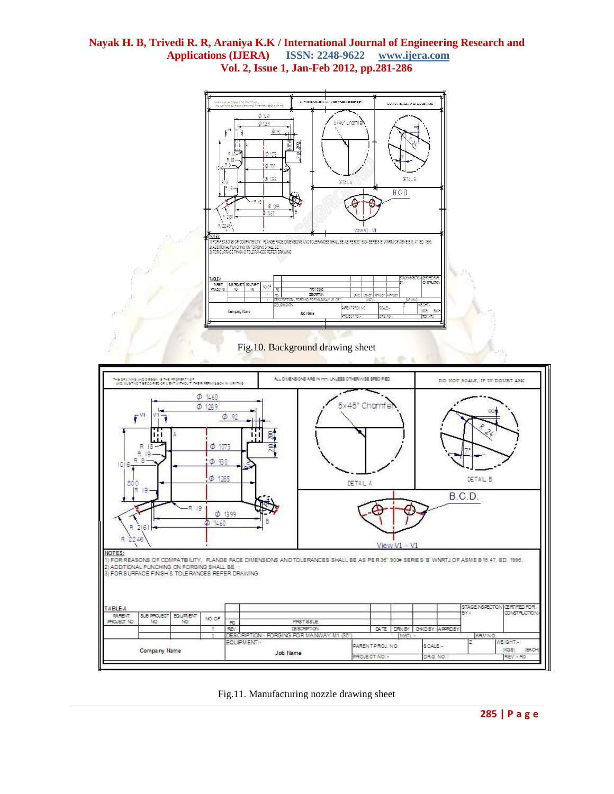

Fig.11. Manufacturing nozzle drawing sheet